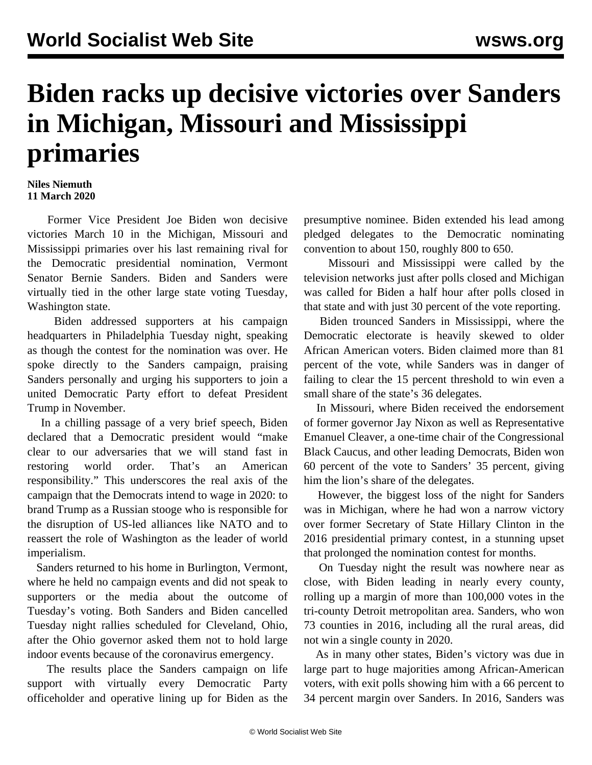## **Biden racks up decisive victories over Sanders in Michigan, Missouri and Mississippi primaries**

## **Niles Niemuth 11 March 2020**

 Former Vice President Joe Biden won decisive victories March 10 in the Michigan, Missouri and Mississippi primaries over his last remaining rival for the Democratic presidential nomination, Vermont Senator Bernie Sanders. Biden and Sanders were virtually tied in the other large state voting Tuesday, Washington state.

 Biden addressed supporters at his campaign headquarters in Philadelphia Tuesday night, speaking as though the contest for the nomination was over. He spoke directly to the Sanders campaign, praising Sanders personally and urging his supporters to join a united Democratic Party effort to defeat President Trump in November.

 In a chilling passage of a very brief speech, Biden declared that a Democratic president would "make clear to our adversaries that we will stand fast in restoring world order. That's an American responsibility." This underscores the real axis of the campaign that the Democrats intend to wage in 2020: to brand Trump as a Russian stooge who is responsible for the disruption of US-led alliances like NATO and to reassert the role of Washington as the leader of world imperialism.

 Sanders returned to his home in Burlington, Vermont, where he held no campaign events and did not speak to supporters or the media about the outcome of Tuesday's voting. Both Sanders and Biden cancelled Tuesday night rallies scheduled for Cleveland, Ohio, after the Ohio governor asked them not to hold large indoor events because of the coronavirus emergency.

 The results place the Sanders campaign on life support with virtually every Democratic Party officeholder and operative lining up for Biden as the

presumptive nominee. Biden extended his lead among pledged delegates to the Democratic nominating convention to about 150, roughly 800 to 650.

 Missouri and Mississippi were called by the television networks just after polls closed and Michigan was called for Biden a half hour after polls closed in that state and with just 30 percent of the vote reporting.

 Biden trounced Sanders in Mississippi, where the Democratic electorate is heavily skewed to older African American voters. Biden claimed more than 81 percent of the vote, while Sanders was in danger of failing to clear the 15 percent threshold to win even a small share of the state's 36 delegates.

 In Missouri, where Biden received the endorsement of former governor Jay Nixon as well as Representative Emanuel Cleaver, a one-time chair of the Congressional Black Caucus, and other leading Democrats, Biden won 60 percent of the vote to Sanders' 35 percent, giving him the lion's share of the delegates.

 However, the biggest loss of the night for Sanders was in Michigan, where he had won a narrow victory over former Secretary of State Hillary Clinton in the 2016 presidential primary contest, in a stunning upset that prolonged the nomination contest for months.

 On Tuesday night the result was nowhere near as close, with Biden leading in nearly every county, rolling up a margin of more than 100,000 votes in the tri-county Detroit metropolitan area. Sanders, who won 73 counties in 2016, including all the rural areas, did not win a single county in 2020.

 As in many other states, Biden's victory was due in large part to huge majorities among African-American voters, with exit polls showing him with a 66 percent to 34 percent margin over Sanders. In 2016, Sanders was